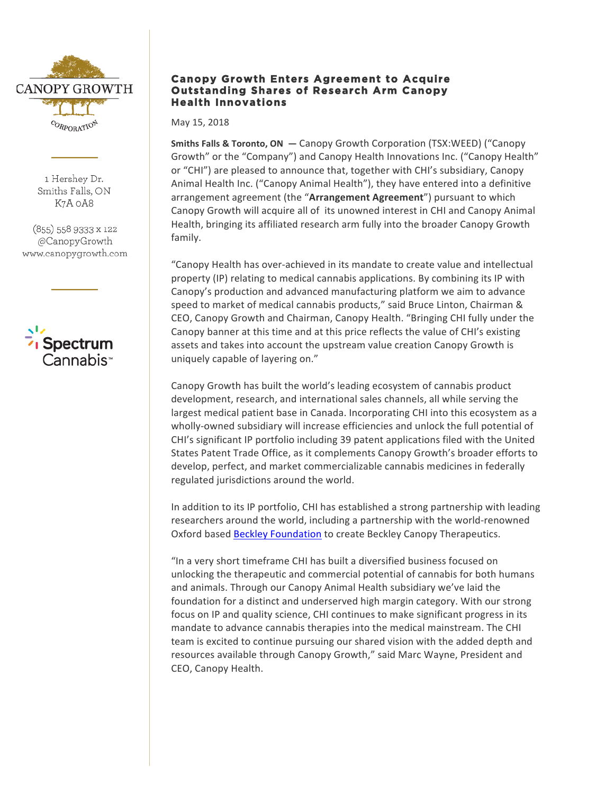

1 Hershey Dr. Smiths Falls, ON K7A 0A8

 $(855)$  558 9333 x 122 @CanopyGrowth www.canopygrowth.com



# **Canopy Growth Enters Agreement to Acquire Outstanding Shares of Research Arm Canopy Health Innovations**

May 15, 2018

**Smiths Falls & Toronto, ON**  $-$  **Canopy Growth Corporation (TSX:WEED) ("Canopy** Growth" or the "Company") and Canopy Health Innovations Inc. ("Canopy Health" or "CHI") are pleased to announce that, together with CHI's subsidiary, Canopy Animal Health Inc. ("Canopy Animal Health"), they have entered into a definitive arrangement agreement (the "Arrangement Agreement") pursuant to which Canopy Growth will acquire all of its unowned interest in CHI and Canopy Animal Health, bringing its affiliated research arm fully into the broader Canopy Growth family.

"Canopy Health has over-achieved in its mandate to create value and intellectual property (IP) relating to medical cannabis applications. By combining its IP with Canopy's production and advanced manufacturing platform we aim to advance speed to market of medical cannabis products," said Bruce Linton, Chairman & CEO, Canopy Growth and Chairman, Canopy Health. "Bringing CHI fully under the Canopy banner at this time and at this price reflects the value of CHI's existing assets and takes into account the upstream value creation Canopy Growth is uniquely capable of layering on."

Canopy Growth has built the world's leading ecosystem of cannabis product development, research, and international sales channels, all while serving the largest medical patient base in Canada. Incorporating CHI into this ecosystem as a wholly-owned subsidiary will increase efficiencies and unlock the full potential of CHI's significant IP portfolio including 39 patent applications filed with the United States Patent Trade Office, as it complements Canopy Growth's broader efforts to develop, perfect, and market commercializable cannabis medicines in federally regulated jurisdictions around the world.

In addition to its IP portfolio, CHI has established a strong partnership with leading researchers around the world, including a partnership with the world-renowned Oxford based Beckley Foundation to create Beckley Canopy Therapeutics.

"In a very short timeframe CHI has built a diversified business focused on unlocking the therapeutic and commercial potential of cannabis for both humans and animals. Through our Canopy Animal Health subsidiary we've laid the foundation for a distinct and underserved high margin category. With our strong focus on IP and quality science, CHI continues to make significant progress in its mandate to advance cannabis therapies into the medical mainstream. The CHI team is excited to continue pursuing our shared vision with the added depth and resources available through Canopy Growth," said Marc Wayne, President and CEO, Canopy Health.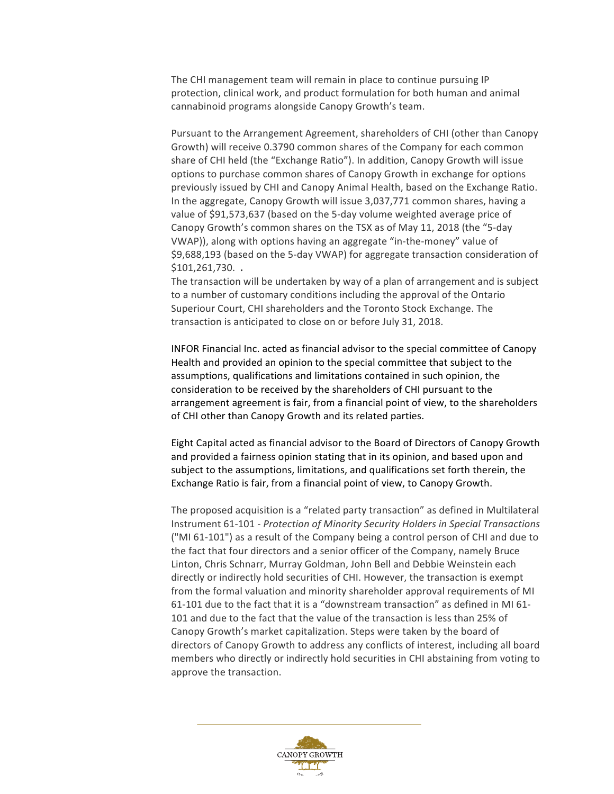The CHI management team will remain in place to continue pursuing IP protection, clinical work, and product formulation for both human and animal cannabinoid programs alongside Canopy Growth's team.

Pursuant to the Arrangement Agreement, shareholders of CHI (other than Canopy Growth) will receive 0.3790 common shares of the Company for each common share of CHI held (the "Exchange Ratio"). In addition, Canopy Growth will issue options to purchase common shares of Canopy Growth in exchange for options previously issued by CHI and Canopy Animal Health, based on the Exchange Ratio. In the aggregate, Canopy Growth will issue 3,037,771 common shares, having a value of \$91,573,637 (based on the 5-day volume weighted average price of Canopy Growth's common shares on the TSX as of May 11, 2018 (the "5-day VWAP)), along with options having an aggregate "in-the-money" value of \$9,688,193 (based on the 5-day VWAP) for aggregate transaction consideration of \$101,261,730. **.**

The transaction will be undertaken by way of a plan of arrangement and is subject to a number of customary conditions including the approval of the Ontario Superiour Court, CHI shareholders and the Toronto Stock Exchange. The transaction is anticipated to close on or before July 31, 2018.

INFOR Financial Inc. acted as financial advisor to the special committee of Canopy Health and provided an opinion to the special committee that subject to the assumptions, qualifications and limitations contained in such opinion, the consideration to be received by the shareholders of CHI pursuant to the arrangement agreement is fair, from a financial point of view, to the shareholders of CHI other than Canopy Growth and its related parties.

Eight Capital acted as financial advisor to the Board of Directors of Canopy Growth and provided a fairness opinion stating that in its opinion, and based upon and subject to the assumptions, limitations, and qualifications set forth therein, the Exchange Ratio is fair, from a financial point of view, to Canopy Growth.

The proposed acquisition is a "related party transaction" as defined in Multilateral Instrument 61-101 - *Protection of Minority Security Holders in Special Transactions* ("MI 61-101") as a result of the Company being a control person of CHI and due to the fact that four directors and a senior officer of the Company, namely Bruce Linton, Chris Schnarr, Murray Goldman, John Bell and Debbie Weinstein each directly or indirectly hold securities of CHI. However, the transaction is exempt from the formal valuation and minority shareholder approval requirements of MI 61-101 due to the fact that it is a "downstream transaction" as defined in MI 61-101 and due to the fact that the value of the transaction is less than 25% of Canopy Growth's market capitalization. Steps were taken by the board of directors of Canopy Growth to address any conflicts of interest, including all board members who directly or indirectly hold securities in CHI abstaining from voting to approve the transaction.

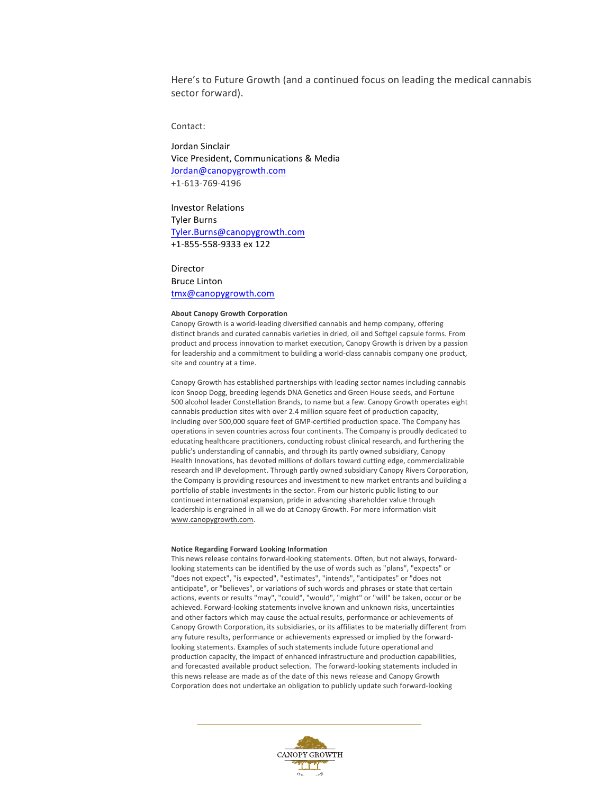Here's to Future Growth (and a continued focus on leading the medical cannabis sector forward).

## Contact:

Jordan Sinclair Vice President, Communications & Media Jordan@canopygrowth.com +1-613-769-4196

Investor Relations **Tyler Burns** Tyler.Burns@canopygrowth.com +1-855-558-9333 ex 122

### Director

## Bruce Linton tmx@canopygrowth.com

### **About Canopy Growth Corporation**

Canopy Growth is a world-leading diversified cannabis and hemp company, offering distinct brands and curated cannabis varieties in dried, oil and Softgel capsule forms. From product and process innovation to market execution, Canopy Growth is driven by a passion for leadership and a commitment to building a world-class cannabis company one product, site and country at a time.

Canopy Growth has established partnerships with leading sector names including cannabis icon Snoop Dogg, breeding legends DNA Genetics and Green House seeds, and Fortune 500 alcohol leader Constellation Brands, to name but a few. Canopy Growth operates eight cannabis production sites with over 2.4 million square feet of production capacity, including over 500,000 square feet of GMP-certified production space. The Company has operations in seven countries across four continents. The Company is proudly dedicated to educating healthcare practitioners, conducting robust clinical research, and furthering the public's understanding of cannabis, and through its partly owned subsidiary, Canopy Health Innovations, has devoted millions of dollars toward cutting edge, commercializable research and IP development. Through partly owned subsidiary Canopy Rivers Corporation, the Company is providing resources and investment to new market entrants and building a portfolio of stable investments in the sector. From our historic public listing to our continued international expansion, pride in advancing shareholder value through leadership is engrained in all we do at Canopy Growth. For more information visit www.canopygrowth.com. 

### **Notice Regarding Forward Looking Information**

This news release contains forward-looking statements. Often, but not always, forwardlooking statements can be identified by the use of words such as "plans", "expects" or "does not expect", "is expected", "estimates", "intends", "anticipates" or "does not anticipate", or "believes", or variations of such words and phrases or state that certain actions, events or results "may", "could", "would", "might" or "will" be taken, occur or be achieved. Forward-looking statements involve known and unknown risks, uncertainties and other factors which may cause the actual results, performance or achievements of Canopy Growth Corporation, its subsidiaries, or its affiliates to be materially different from any future results, performance or achievements expressed or implied by the forwardlooking statements. Examples of such statements include future operational and production capacity, the impact of enhanced infrastructure and production capabilities, and forecasted available product selection. The forward-looking statements included in this news release are made as of the date of this news release and Canopy Growth Corporation does not undertake an obligation to publicly update such forward-looking